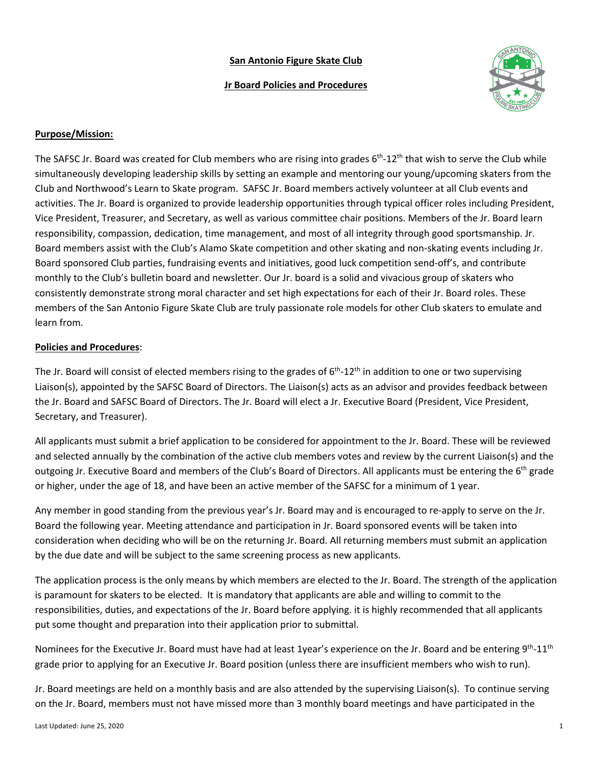## **San Antonio Figure Skate Club**

### **Jr Board Policies and Procedures**



### **Purpose/Mission:**

The SAFSC Jr. Board was created for Club members who are rising into grades  $6<sup>th</sup>$ -12<sup>th</sup> that wish to serve the Club while simultaneously developing leadership skills by setting an example and mentoring our young/upcoming skaters from the Club and Northwood's Learn to Skate program. SAFSC Jr. Board members actively volunteer at all Club events and activities. The Jr. Board is organized to provide leadership opportunities through typical officer roles including President, Vice President, Treasurer, and Secretary, as well as various committee chair positions. Members of the Jr. Board learn responsibility, compassion, dedication, time management, and most of all integrity through good sportsmanship. Jr. Board members assist with the Club's Alamo Skate competition and other skating and non-skating events including Jr. Board sponsored Club parties, fundraising events and initiatives, good luck competition send-off's, and contribute monthly to the Club's bulletin board and newsletter. Our Jr. board is a solid and vivacious group of skaters who consistently demonstrate strong moral character and set high expectations for each of their Jr. Board roles. These members of the San Antonio Figure Skate Club are truly passionate role models for other Club skaters to emulate and learn from.

#### **Policies and Procedures**:

The Jr. Board will consist of elected members rising to the grades of  $6<sup>th</sup>$ -12<sup>th</sup> in addition to one or two supervising Liaison(s), appointed by the SAFSC Board of Directors. The Liaison(s) acts as an advisor and provides feedback between the Jr. Board and SAFSC Board of Directors. The Jr. Board will elect a Jr. Executive Board (President, Vice President, Secretary, and Treasurer).

All applicants must submit a brief application to be considered for appointment to the Jr. Board. These will be reviewed and selected annually by the combination of the active club members votes and review by the current Liaison(s) and the outgoing Jr. Executive Board and members of the Club's Board of Directors. All applicants must be entering the 6<sup>th</sup> grade or higher, under the age of 18, and have been an active member of the SAFSC for a minimum of 1 year.

Any member in good standing from the previous year's Jr. Board may and is encouraged to re-apply to serve on the Jr. Board the following year. Meeting attendance and participation in Jr. Board sponsored events will be taken into consideration when deciding who will be on the returning Jr. Board. All returning members must submit an application by the due date and will be subject to the same screening process as new applicants.

The application process is the only means by which members are elected to the Jr. Board. The strength of the application is paramount for skaters to be elected. It is mandatory that applicants are able and willing to commit to the responsibilities, duties, and expectations of the Jr. Board before applying. it is highly recommended that all applicants put some thought and preparation into their application prior to submittal.

Nominees for the Executive Jr. Board must have had at least 1year's experience on the Jr. Board and be entering 9<sup>th</sup>-11<sup>th</sup> grade prior to applying for an Executive Jr. Board position (unless there are insufficient members who wish to run).

Jr. Board meetings are held on a monthly basis and are also attended by the supervising Liaison(s). To continue serving on the Jr. Board, members must not have missed more than 3 monthly board meetings and have participated in the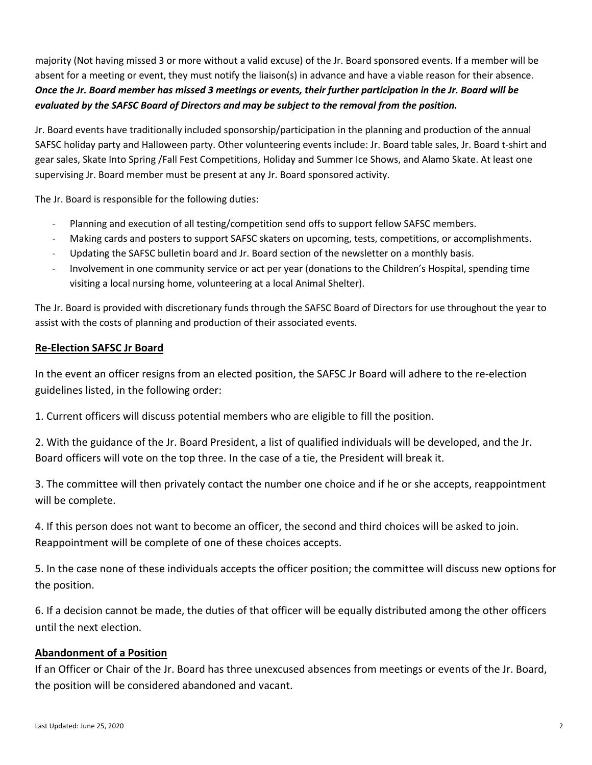majority (Not having missed 3 or more without a valid excuse) of the Jr. Board sponsored events. If a member will be absent for a meeting or event, they must notify the liaison(s) in advance and have a viable reason for their absence. *Once the Jr. Board member has missed 3 meetings or events, their further participation in the Jr. Board will be evaluated by the SAFSC Board of Directors and may be subject to the removal from the position.*

Jr. Board events have traditionally included sponsorship/participation in the planning and production of the annual SAFSC holiday party and Halloween party. Other volunteering events include: Jr. Board table sales, Jr. Board t-shirt and gear sales, Skate Into Spring /Fall Fest Competitions, Holiday and Summer Ice Shows, and Alamo Skate. At least one supervising Jr. Board member must be present at any Jr. Board sponsored activity.

The Jr. Board is responsible for the following duties:

- Planning and execution of all testing/competition send offs to support fellow SAFSC members.
- Making cards and posters to support SAFSC skaters on upcoming, tests, competitions, or accomplishments.
- Updating the SAFSC bulletin board and Jr. Board section of the newsletter on a monthly basis.
- Involvement in one community service or act per year (donations to the Children's Hospital, spending time visiting a local nursing home, volunteering at a local Animal Shelter).

The Jr. Board is provided with discretionary funds through the SAFSC Board of Directors for use throughout the year to assist with the costs of planning and production of their associated events.

# **Re-Election SAFSC Jr Board**

In the event an officer resigns from an elected position, the SAFSC Jr Board will adhere to the re-election guidelines listed, in the following order:

1. Current officers will discuss potential members who are eligible to fill the position.

2. With the guidance of the Jr. Board President, a list of qualified individuals will be developed, and the Jr. Board officers will vote on the top three. In the case of a tie, the President will break it.

3. The committee will then privately contact the number one choice and if he or she accepts, reappointment will be complete.

4. If this person does not want to become an officer, the second and third choices will be asked to join. Reappointment will be complete of one of these choices accepts.

5. In the case none of these individuals accepts the officer position; the committee will discuss new options for the position.

6. If a decision cannot be made, the duties of that officer will be equally distributed among the other officers until the next election.

# **Abandonment of a Position**

If an Officer or Chair of the Jr. Board has three unexcused absences from meetings or events of the Jr. Board, the position will be considered abandoned and vacant.